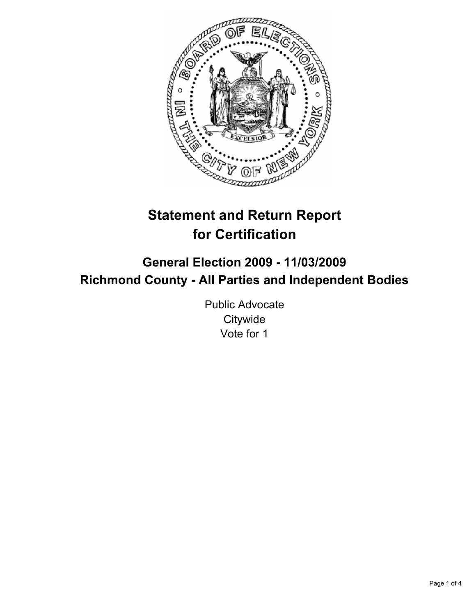

# **Statement and Return Report for Certification**

# **General Election 2009 - 11/03/2009 Richmond County - All Parties and Independent Bodies**

Public Advocate **Citywide** Vote for 1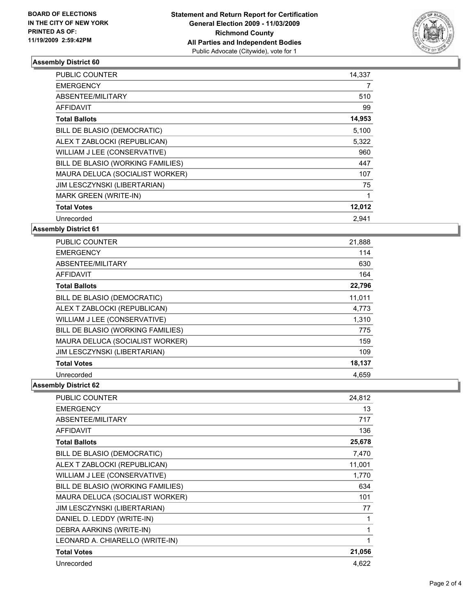

## **Assembly District 60**

| <b>PUBLIC COUNTER</b>             | 14.337 |
|-----------------------------------|--------|
| <b>EMERGENCY</b>                  | 7      |
| ABSENTEE/MILITARY                 | 510    |
| <b>AFFIDAVIT</b>                  | 99     |
| <b>Total Ballots</b>              | 14,953 |
| BILL DE BLASIO (DEMOCRATIC)       | 5,100  |
| ALEX T ZABLOCKI (REPUBLICAN)      | 5,322  |
| WILLIAM J LEE (CONSERVATIVE)      | 960    |
| BILL DE BLASIO (WORKING FAMILIES) | 447    |
| MAURA DELUCA (SOCIALIST WORKER)   | 107    |
| JIM LESCZYNSKI (LIBERTARIAN)      | 75     |
| MARK GREEN (WRITE-IN)             | 1      |
| <b>Total Votes</b>                | 12,012 |
| Unrecorded                        | 2,941  |

**Assembly District 61**

| <b>PUBLIC COUNTER</b>             | 21,888 |
|-----------------------------------|--------|
|                                   |        |
| <b>EMERGENCY</b>                  | 114    |
| ABSENTEE/MILITARY                 | 630    |
| AFFIDAVIT                         | 164    |
| <b>Total Ballots</b>              | 22,796 |
| BILL DE BLASIO (DEMOCRATIC)       | 11,011 |
| ALEX T ZABLOCKI (REPUBLICAN)      | 4,773  |
| WILLIAM J LEE (CONSERVATIVE)      | 1,310  |
| BILL DE BLASIO (WORKING FAMILIES) | 775    |
| MAURA DELUCA (SOCIALIST WORKER)   | 159    |
| JIM LESCZYNSKI (LIBERTARIAN)      | 109    |
| <b>Total Votes</b>                | 18,137 |
| Unrecorded                        | 4,659  |

#### **Assembly District 62**

| <b>PUBLIC COUNTER</b>             | 24,812 |
|-----------------------------------|--------|
| <b>EMERGENCY</b>                  | 13     |
| ABSENTEE/MILITARY                 | 717    |
| <b>AFFIDAVIT</b>                  | 136    |
| <b>Total Ballots</b>              | 25,678 |
| BILL DE BLASIO (DEMOCRATIC)       | 7,470  |
| ALEX T ZABLOCKI (REPUBLICAN)      | 11,001 |
| WILLIAM J LEE (CONSERVATIVE)      | 1,770  |
| BILL DE BLASIO (WORKING FAMILIES) | 634    |
| MAURA DELUCA (SOCIALIST WORKER)   | 101    |
| JIM LESCZYNSKI (LIBERTARIAN)      | 77     |
| DANIEL D. LEDDY (WRITE-IN)        |        |
| DEBRA AARKINS (WRITE-IN)          | 1      |
| LEONARD A. CHIARELLO (WRITE-IN)   | 1      |
| <b>Total Votes</b>                | 21,056 |
| Unrecorded                        | 4,622  |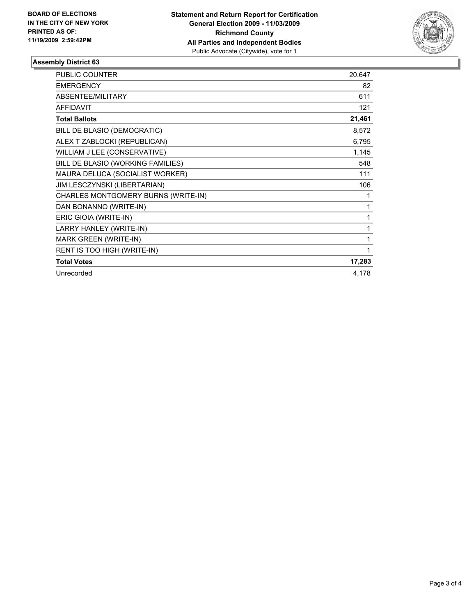

## **Assembly District 63**

| <b>PUBLIC COUNTER</b>               | 20,647 |
|-------------------------------------|--------|
| <b>EMERGENCY</b>                    | 82     |
| ABSENTEE/MILITARY                   | 611    |
| <b>AFFIDAVIT</b>                    | 121    |
| <b>Total Ballots</b>                | 21,461 |
| BILL DE BLASIO (DEMOCRATIC)         | 8,572  |
| ALEX T ZABLOCKI (REPUBLICAN)        | 6,795  |
| WILLIAM J LEE (CONSERVATIVE)        | 1,145  |
| BILL DE BLASIO (WORKING FAMILIES)   | 548    |
| MAURA DELUCA (SOCIALIST WORKER)     | 111    |
| JIM LESCZYNSKI (LIBERTARIAN)        | 106    |
| CHARLES MONTGOMERY BURNS (WRITE-IN) | 1      |
| DAN BONANNO (WRITE-IN)              | 1      |
| ERIC GIOIA (WRITE-IN)               | 1      |
| LARRY HANLEY (WRITE-IN)             | 1      |
| MARK GREEN (WRITE-IN)               | 1      |
| RENT IS TOO HIGH (WRITE-IN)         | 1      |
| <b>Total Votes</b>                  | 17,283 |
| Unrecorded                          | 4,178  |